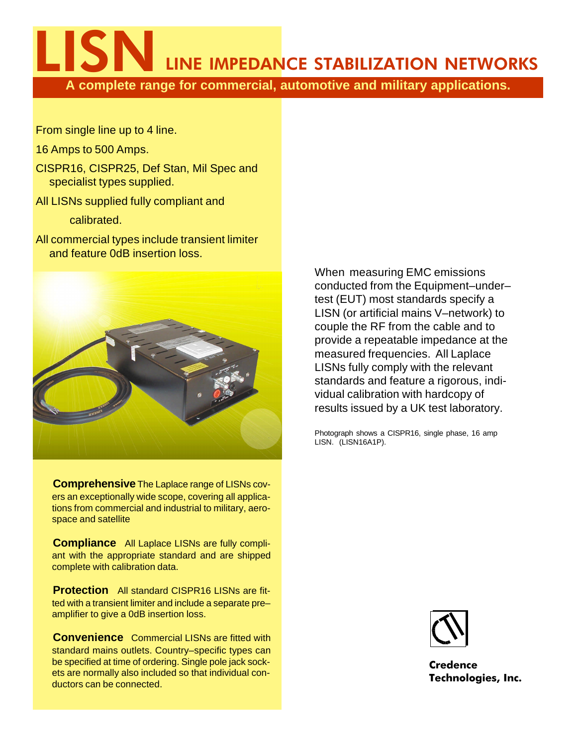LINE IMPEDANCE STABILIZATION NETWORKS

**A complete range for commercial, automotive and military applications.**

From single line up to 4 line.

16 Amps to 500 Amps.

CISPR16, CISPR25, Def Stan, Mil Spec and specialist types supplied.

All LISNs supplied fully compliant and

calibrated.

All commercial types include transient limiter and feature 0dB insertion loss.



**Comprehensive** The Laplace range of LISNs covers an exceptionally wide scope, covering all applications from commercial and industrial to military, aerospace and satellite

**Compliance** All Laplace LISNs are fully compliant with the appropriate standard and are shipped complete with calibration data.

**Protection** All standard CISPR16 LISNs are fitted with a transient limiter and include a separate pre– amplifier to give a 0dB insertion loss.

**Convenience** Commercial LISNs are fitted with standard mains outlets. Country–specific types can be specified at time of ordering. Single pole jack sockets are normally also included so that individual conductors can be connected.

When measuring EMC emissions conducted from the Equipment–under– test (EUT) most standards specify a LISN (or artificial mains V–network) to couple the RF from the cable and to provide a repeatable impedance at the measured frequencies. All Laplace LISNs fully comply with the relevant standards and feature a rigorous, individual calibration with hardcopy of results issued by a UK test laboratory.

Photograph shows a CISPR16, single phase, 16 amp LISN. (LISN16A1P).



**Credence Technologies, Inc.**